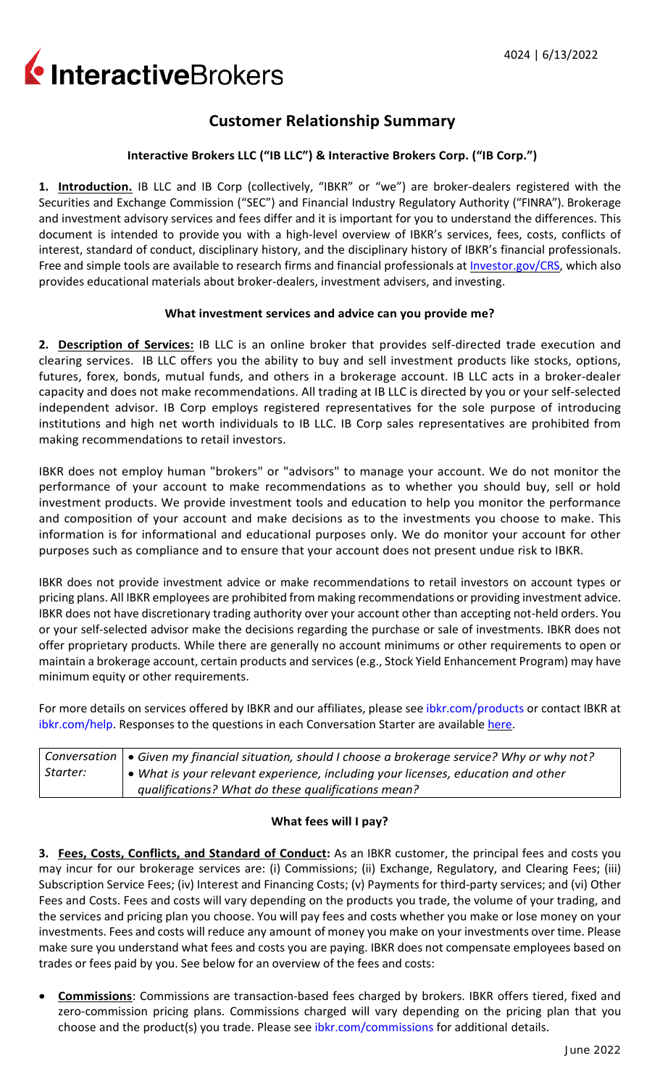InteractiveBrokers

# **Customer Relationship Summary**

### **Interactive Brokers LLC ("IB LLC") & Interactive Brokers Corp. ("IB Corp.")**

**1. Introduction.** IB LLC and IB Corp (collectively, "IBKR" or "we") are broker-dealers registered with the Securities and Exchange Commission ("SEC") and Financial Industry Regulatory Authority ("FINRA"). Brokerage and investment advisory services and fees differ and it is important for you to understand the differences. This document is intended to provide you with a high-level overview of IBKR's services, fees, costs, conflicts of interest, standard of conduct, disciplinary history, and the disciplinary history of IBKR's financial professionals. Free and simple tools are available to research firms and financial professionals at **Investor.gov/CRS**, which also provides educational materials about broker-dealers, investment advisers, and investing.

#### **What investment services and advice can you provide me?**

**2. Description of Services:** IB LLC is an online broker that provides self-directed trade execution and clearing services. IB LLC offers you the ability to buy and sell investment products like stocks, options, futures, forex, bonds, mutual funds, and others in a brokerage account. IB LLC acts in a broker-dealer capacity and does not make recommendations. All trading at IB LLC is directed by you or your self-selected independent advisor. IB Corp employs registered representatives for the sole purpose of introducing institutions and high net worth individuals to IB LLC. IB Corp sales representatives are prohibited from making recommendations to retail investors.

IBKR does not employ human "brokers" or "advisors" to manage your account. We do not monitor the performance of your account to make recommendations as to whether you should buy, sell or hold investment products. We provide investment tools and education to help you monitor the performance and composition of your account and make decisions as to the investments you choose to make. This information is for informational and educational purposes only. We do monitor your account for other purposes such as compliance and to ensure that your account does not present undue risk to IBKR.

IBKR does not provide investment advice or make recommendations to retail investors on account types or pricing plans. All IBKR employees are prohibited from making recommendations or providing investment advice. IBKR does not have discretionary trading authority over your account other than accepting not-held orders. You or your self-selected advisor make the decisions regarding the purchase or sale of investments. IBKR does not offer proprietary products. While there are generally no account minimums or other requirements to open or maintain a brokerage account, certain products and services (e.g., Stock Yield Enhancement Program) may have minimum equity or other requirements.

For more details on services offered by IBKR and our affiliates, please see [ibkr.com/products](http://#) or contact IBKR at [ibkr.com/help.](http://#) Responses to the questions in each Conversation Starter are available [here.](http://#)

|          | $\mid$ Conversation $\mid\bullet$ Given my financial situation, should I choose a brokerage service? Why or why not? |
|----------|----------------------------------------------------------------------------------------------------------------------|
| Starter: | $\vert \bullet \vert$ What is your relevant experience, including your licenses, education and other                 |
|          | qualifications? What do these qualifications mean?                                                                   |

#### **What fees will I pay?**

**3. Fees, Costs, Conflicts, and Standard of Conduct:** As an IBKR customer, the principal fees and costs you may incur for our brokerage services are: (i) Commissions; (ii) Exchange, Regulatory, and Clearing Fees; (iii) Subscription Service Fees; (iv) Interest and Financing Costs; (v) Payments for third-party services; and (vi) Other Fees and Costs. Fees and costs will vary depending on the products you trade, the volume of your trading, and the services and pricing plan you choose. You will pay fees and costs whether you make or lose money on your investments. Fees and costs will reduce any amount of money you make on your investments over time. Please make sure you understand what fees and costs you are paying. IBKR does not compensate employees based on trades or fees paid by you. See below for an overview of the fees and costs:

• **Commissions**: Commissions are transaction-based fees charged by brokers. IBKR offers tiered, fixed and zero-commission pricing plans. Commissions charged will vary depending on the pricing plan that you choose and the product(s) you trade. Please see [ibkr.com/commissions](http://#) for additional details.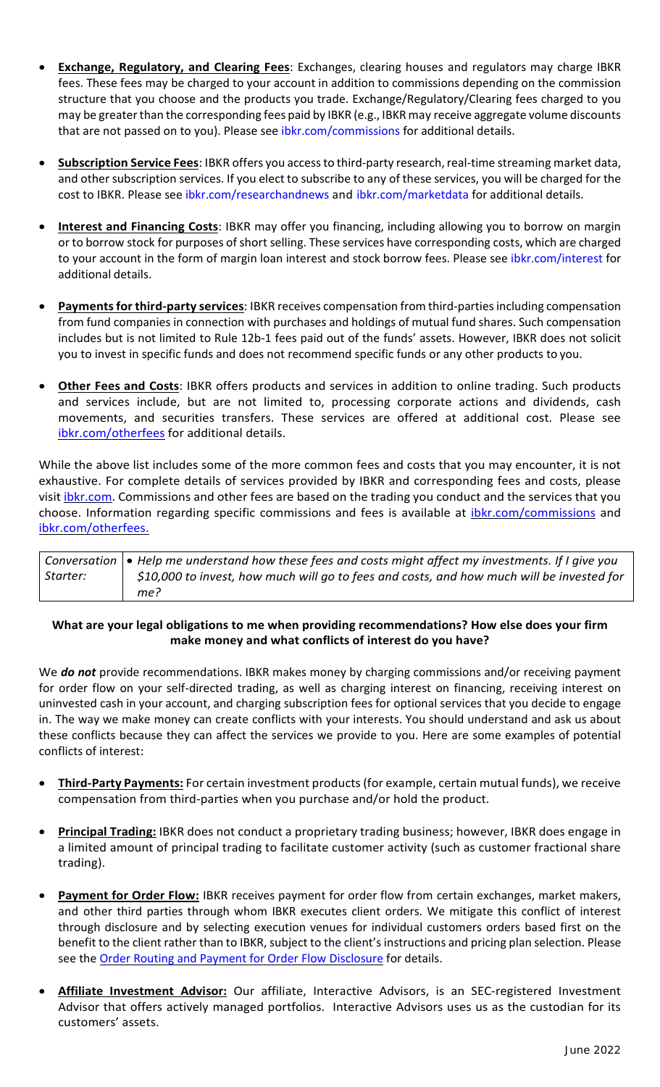- **Exchange, Regulatory, and Clearing Fees**: Exchanges, clearing houses and regulators may charge IBKR fees. These fees may be charged to your account in addition to commissions depending on the commission structure that you choose and the products you trade. Exchange/Regulatory/Clearing fees charged to you may be greater than the corresponding fees paid by IBKR (e.g., IBKR may receive aggregate volume discounts that are not passed on to you). Please see [ibkr.com/commissions](http://#) for additional details.
- **Subscription Service Fees**: IBKR offers you access to third-party research, real-time streaming market data, and other subscription services. If you elect to subscribe to any of these services, you will be charged for the cost to IBKR. Please see [ibkr.com/researchandnews](http://#) and [ibkr.com/marketdata](http://#) for additional details.
- **Interest and Financing Costs**: IBKR may offer you financing, including allowing you to borrow on margin or to borrow stock for purposes of short selling. These services have corresponding costs, which are charged to your account in the form of margin loan interest and stock borrow fees. Please see [ibkr.com/interest](http://#) for additional details.
- **Payments for third-party services**: IBKR receives compensation from third-parties including compensation from fund companies in connection with purchases and holdings of mutual fund shares. Such compensation includes but is not limited to Rule 12b-1 fees paid out of the funds' assets. However, IBKR does not solicit you to invest in specific funds and does not recommend specific funds or any other products to you.
- **Other Fees and Costs**: IBKR offers products and services in addition to online trading. Such products and services include, but are not limited to, processing corporate actions and dividends, cash movements, and securities transfers. These services are offered at additional cost. Please see [ibkr.com/otherfees](http://#) for additional details.

While the above list includes some of the more common fees and costs that you may encounter, it is not exhaustive. For complete details of services provided by IBKR and corresponding fees and costs, please visit *ibkr.com*. Commissions and other fees are based on the trading you conduct and the services that you choose. Information regarding specific commissions and fees is available at *ibkr.com/commissions* and [ibkr.com/otherfees.](http://#)

|          | Conversation $  \bullet \right.$ Help me understand how these fees and costs might affect my investments. If I give you |
|----------|-------------------------------------------------------------------------------------------------------------------------|
| Starter: | \$10,000 to invest, how much will go to fees and costs, and how much will be invested for                               |
|          | me?                                                                                                                     |

#### **What are your legal obligations to me when providing recommendations? How else does your firm make money and what conflicts of interest do you have?**

We **do not** provide recommendations. IBKR makes money by charging commissions and/or receiving payment for order flow on your self-directed trading, as well as charging interest on financing, receiving interest on uninvested cash in your account, and charging subscription fees for optional services that you decide to engage in. The way we make money can create conflicts with your interests. You should understand and ask us about these conflicts because they can affect the services we provide to you. Here are some examples of potential conflicts of interest:

- **Third-Party Payments:** For certain investment products(for example, certain mutual funds), we receive compensation from third-parties when you purchase and/or hold the product.
- **Principal Trading:** IBKR does not conduct a proprietary trading business; however, IBKR does engage in a limited amount of principal trading to facilitate customer activity (such as customer fractional share trading).
- **Payment for Order Flow:** IBKR receives payment for order flow from certain exchanges, market makers, and other third parties through whom IBKR executes client orders. We mitigate this conflict of interest through disclosure and by selecting execution venues for individual customers orders based first on the benefit to the client rather than to IBKR, subject to the client's instructions and pricing plan selection. Please see the [Order Routing and Payment for Order Flow Disclosure](http://#) for details.
- **Affiliate Investment Advisor:** Our affiliate, Interactive Advisors, is an SEC-registered Investment Advisor that offers actively managed portfolios. Interactive Advisors uses us as the custodian for its customers' assets.